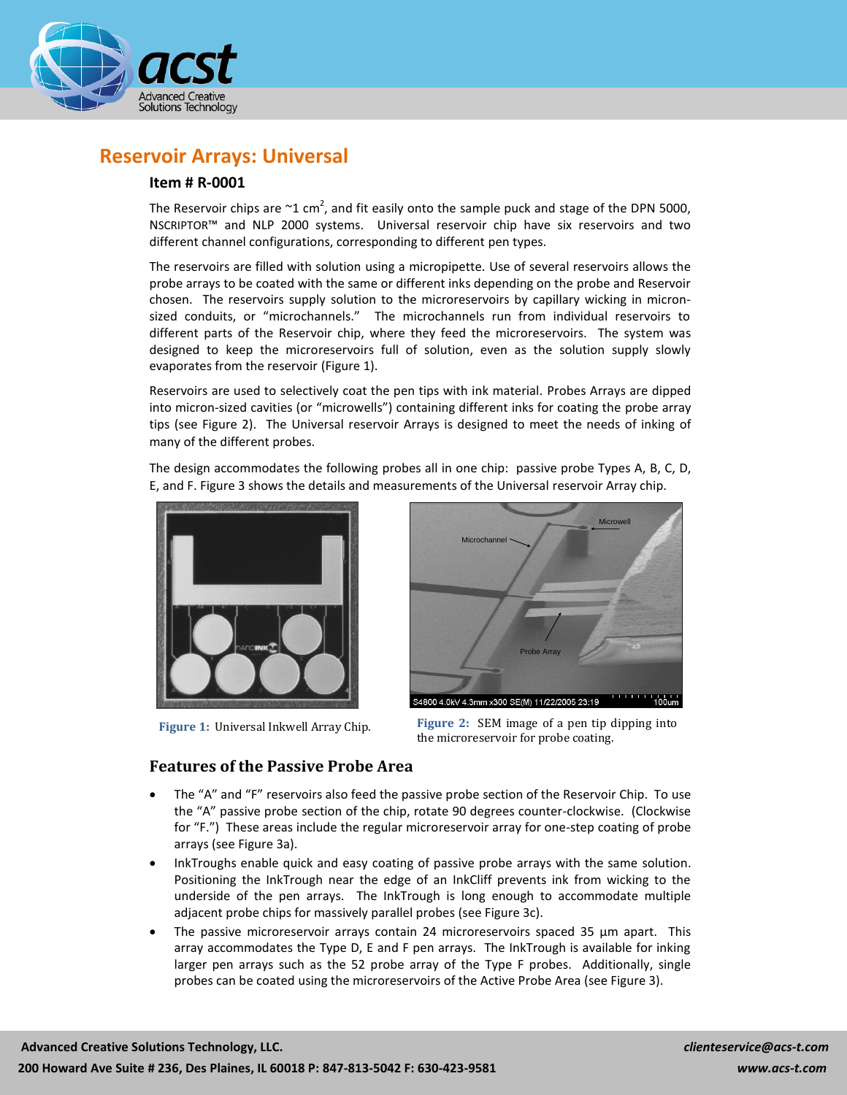

# **Reservoir Arrays: Universal**

### **Item # R-0001**

The Reservoir chips are  $\sim$ 1 cm<sup>2</sup>, and fit easily onto the sample puck and stage of the DPN 5000, NSCRIPTOR™ and NLP 2000 systems. Universal reservoir chip have six reservoirs and two different channel configurations, corresponding to different pen types.

The reservoirs are filled with solution using a micropipette. Use of several reservoirs allows the probe arrays to be coated with the same or different inks depending on the probe and Reservoir chosen. The reservoirs supply solution to the microreservoirs by capillary wicking in micronsized conduits, or "microchannels." The microchannels run from individual reservoirs to different parts of the Reservoir chip, where they feed the microreservoirs. The system was designed to keep the microreservoirs full of solution, even as the solution supply slowly evaporates from the reservoir (Figure 1).

Reservoirs are used to selectively coat the pen tips with ink material. Probes Arrays are dipped into micron-sized cavities (or "microwells") containing different inks for coating the probe array tips (see Figure 2). The Universal reservoir Arrays is designed to meet the needs of inking of many of the different probes.

The design accommodates the following probes all in one chip: passive probe Types A, B, C, D, E, and F. Figure 3 shows the details and measurements of the Universal reservoir Array chip.



**Figure 1:** Universal Inkwell Array Chip.



**Figure 2:** SEM image of a pen tip dipping into the microreservoir for probe coating.

#### **Features of the Passive Probe Area**

- The "A" and "F" reservoirs also feed the passive probe section of the Reservoir Chip. To use the "A" passive probe section of the chip, rotate 90 degrees counter-clockwise. (Clockwise for "F.") These areas include the regular microreservoir array for one-step coating of probe arrays (see Figure 3a).
- InkTroughs enable quick and easy coating of passive probe arrays with the same solution. Positioning the InkTrough near the edge of an InkCliff prevents ink from wicking to the underside of the pen arrays. The InkTrough is long enough to accommodate multiple adjacent probe chips for massively parallel probes (see Figure 3c).
- The passive microreservoir arrays contain 24 microreservoirs spaced 35 µm apart. This array accommodates the Type D, E and F pen arrays. The InkTrough is available for inking larger pen arrays such as the 52 probe array of the Type F probes. Additionally, single probes can be coated using the microreservoirs of the Active Probe Area (see Figure 3).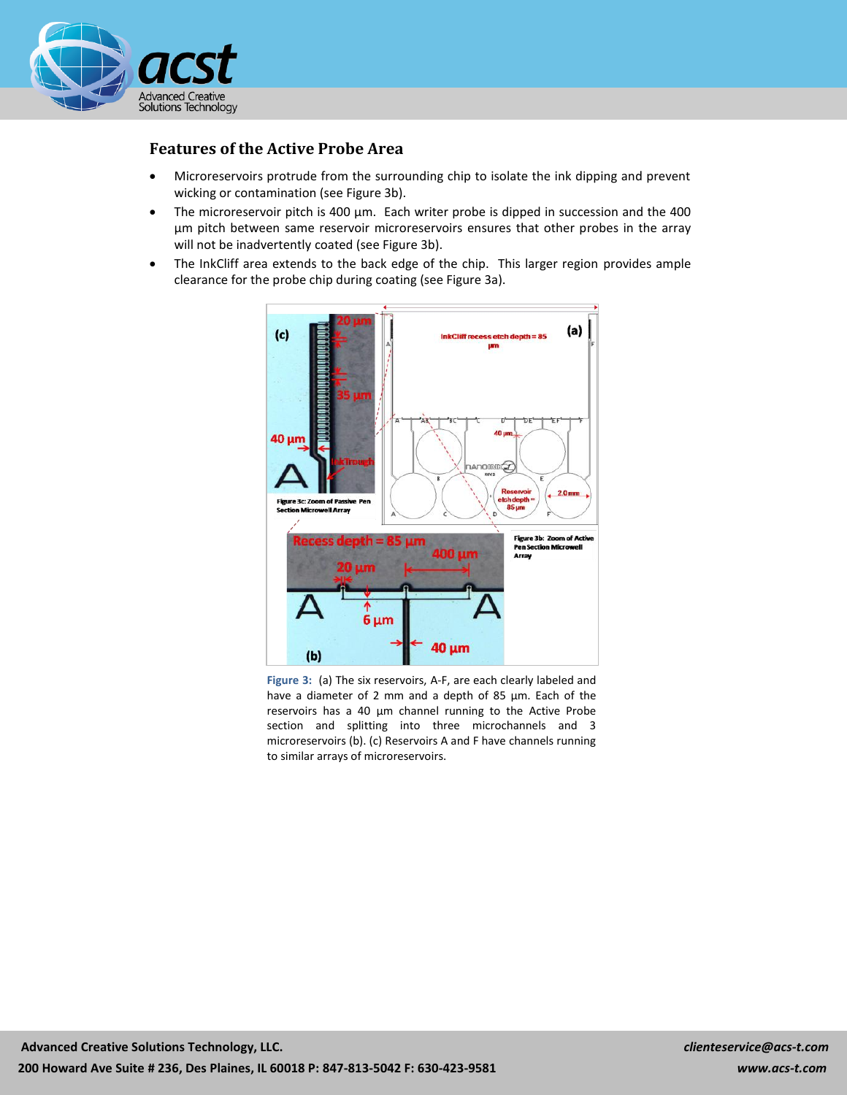

## **Features of the Active Probe Area**

- Microreservoirs protrude from the surrounding chip to isolate the ink dipping and prevent wicking or contamination (see Figure 3b).
- The microreservoir pitch is 400 µm. Each writer probe is dipped in succession and the 400 µm pitch between same reservoir microreservoirs ensures that other probes in the array will not be inadvertently coated (see Figure 3b).
- The InkCliff area extends to the back edge of the chip. This larger region provides ample clearance for the probe chip during coating (see Figure 3a).



**Figure 3:** (a) The six reservoirs, A-F, are each clearly labeled and have a diameter of 2 mm and a depth of 85 μm. Each of the reservoirs has a 40 μm channel running to the Active Probe section and splitting into three microchannels and 3 microreservoirs (b). (c) Reservoirs A and F have channels running to similar arrays of microreservoirs.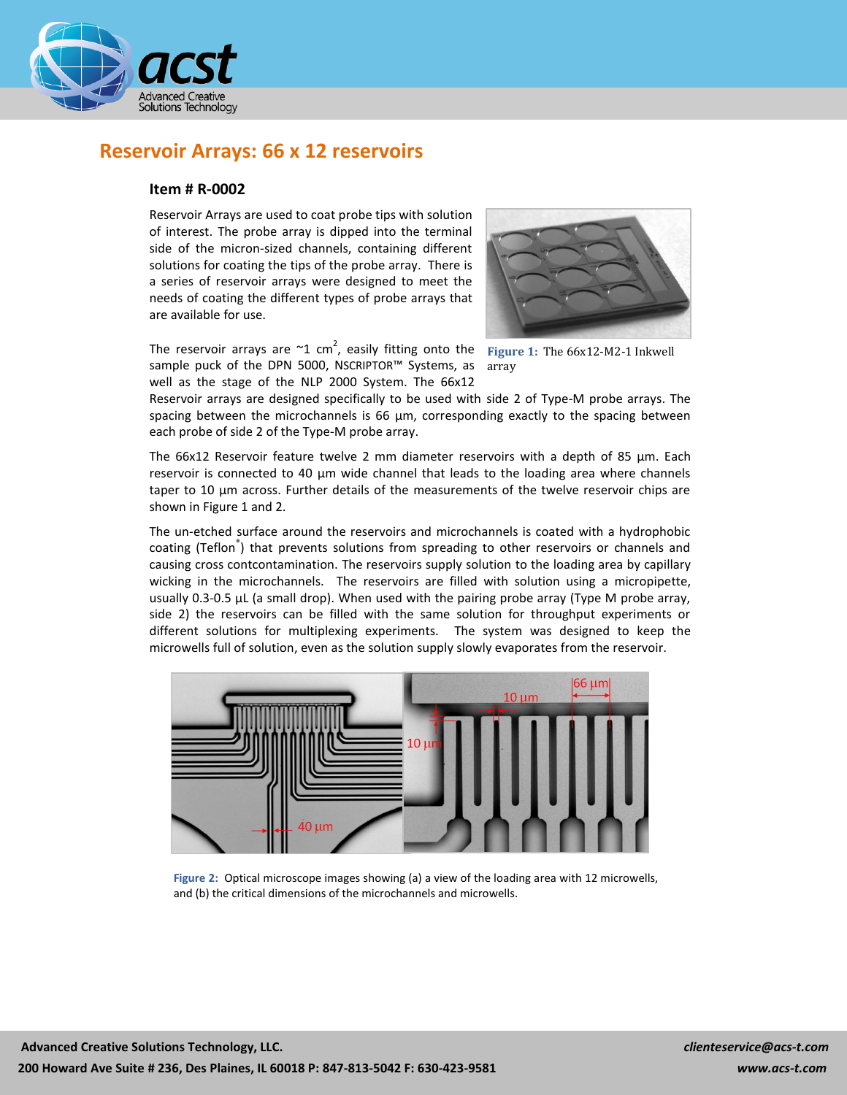

# **Reservoir Arrays: 66 x 12 reservoirs**

#### **Item # R-0002**

Reservoir Arrays are used to coat probe tips with solution of interest. The probe array is dipped into the terminal side of the micron-sized channels, containing different solutions for coating the tips of the probe array. There is a series of reservoir arrays were designed to meet the needs of coating the different types of probe arrays that are available for use.



The reservoir arrays are  $\sim$ 1 cm<sup>2</sup>, easily fitting onto the Figure 1: The 66x12-M2-1 Inkwell sample puck of the DPN 5000, NSCRIPTOR™ Systems, as well as the stage of the NLP 2000 System. The 66x12

array

Reservoir arrays are designed specifically to be used with side 2 of Type-M probe arrays. The spacing between the microchannels is 66 µm, corresponding exactly to the spacing between each probe of side 2 of the Type-M probe array.

The  $66x12$  Reservoir feature twelve 2 mm diameter reservoirs with a depth of 85  $\mu$ m. Each reservoir is connected to 40 µm wide channel that leads to the loading area where channels taper to 10 µm across. Further details of the measurements of the twelve reservoir chips are shown in Figure 1 and 2.

The un-etched surface around the reservoirs and microchannels is coated with a hydrophobic coating (Teflon<sup>®</sup>) that prevents solutions from spreading to other reservoirs or channels and causing cross contcontamination. The reservoirs supply solution to the loading area by capillary wicking in the microchannels. The reservoirs are filled with solution using a micropipette, usually 0.3-0.5 µL (a small drop). When used with the pairing probe array (Type M probe array, side 2) the reservoirs can be filled with the same solution for throughput experiments or different solutions for multiplexing experiments. The system was designed to keep the microwells full of solution, even as the solution supply slowly evaporates from the reservoir.



**Figure 2:** Optical microscope images showing (a) a view of the loading area with 12 microwells, and (b) the critical dimensions of the microchannels and microwells.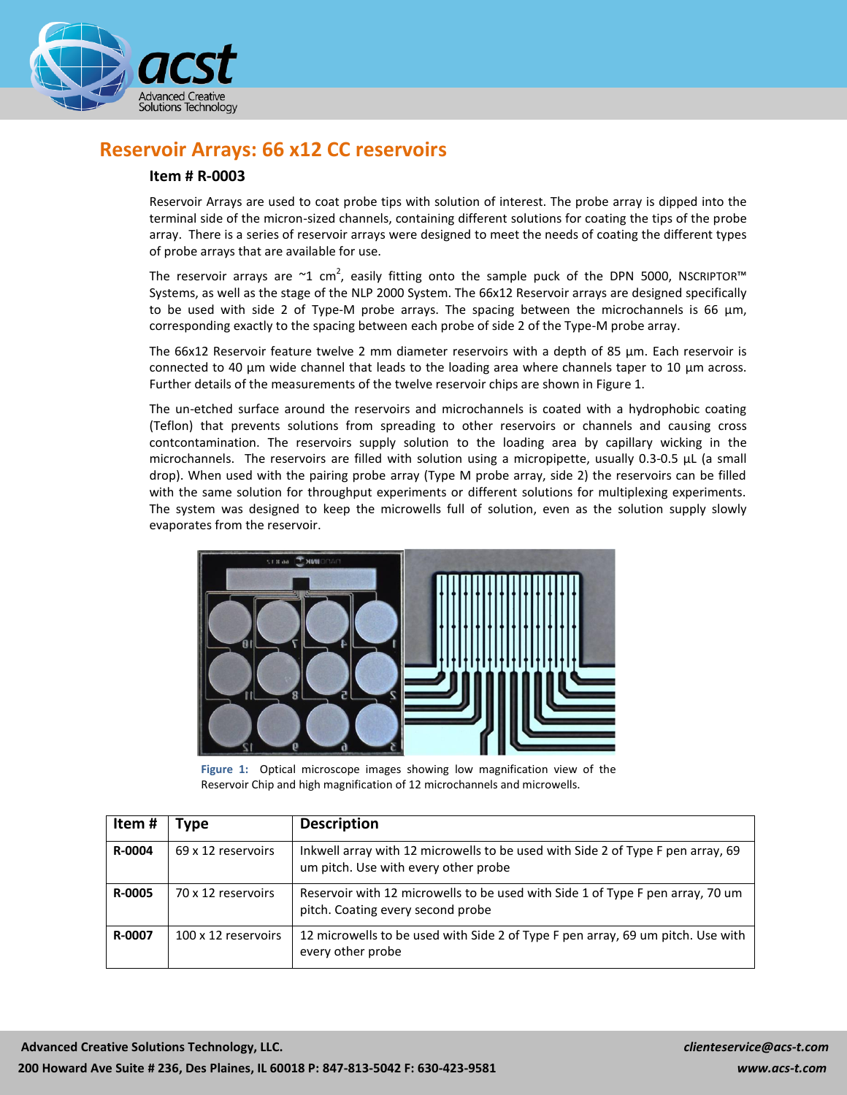

# **Reservoir Arrays: 66 x12 CC reservoirs**

#### **Item # R-0003**

Reservoir Arrays are used to coat probe tips with solution of interest. The probe array is dipped into the terminal side of the micron-sized channels, containing different solutions for coating the tips of the probe array. There is a series of reservoir arrays were designed to meet the needs of coating the different types of probe arrays that are available for use.

The reservoir arrays are  $\sim$ 1 cm<sup>2</sup>, easily fitting onto the sample puck of the DPN 5000, NSCRIPTOR<sup>™</sup> Systems, as well as the stage of the NLP 2000 System. The 66x12 Reservoir arrays are designed specifically to be used with side 2 of Type-M probe arrays. The spacing between the microchannels is 66  $\mu$ m, corresponding exactly to the spacing between each probe of side 2 of the Type-M probe array.

The 66x12 Reservoir feature twelve 2 mm diameter reservoirs with a depth of 85 µm. Each reservoir is connected to 40 µm wide channel that leads to the loading area where channels taper to 10 µm across. Further details of the measurements of the twelve reservoir chips are shown in Figure 1.

The un-etched surface around the reservoirs and microchannels is coated with a hydrophobic coating (Teflon) that prevents solutions from spreading to other reservoirs or channels and causing cross contcontamination. The reservoirs supply solution to the loading area by capillary wicking in the microchannels. The reservoirs are filled with solution using a micropipette, usually  $0.3$ - $0.5$   $\mu$ L (a small drop). When used with the pairing probe array (Type M probe array, side 2) the reservoirs can be filled with the same solution for throughput experiments or different solutions for multiplexing experiments. The system was designed to keep the microwells full of solution, even as the solution supply slowly evaporates from the reservoir.



**Figure 1:** Optical microscope images showing low magnification view of the Reservoir Chip and high magnification of 12 microchannels and microwells.

| Item#         | 'ype                | <b>Description</b>                                                                                                      |
|---------------|---------------------|-------------------------------------------------------------------------------------------------------------------------|
| R-0004        | 69 x 12 reservoirs  | Inkwell array with 12 microwells to be used with Side 2 of Type F pen array, 69<br>um pitch. Use with every other probe |
| <b>R-0005</b> | 70 x 12 reservoirs  | Reservoir with 12 microwells to be used with Side 1 of Type F pen array, 70 um<br>pitch. Coating every second probe     |
| R-0007        | 100 x 12 reservoirs | 12 microwells to be used with Side 2 of Type F pen array, 69 um pitch. Use with<br>every other probe                    |